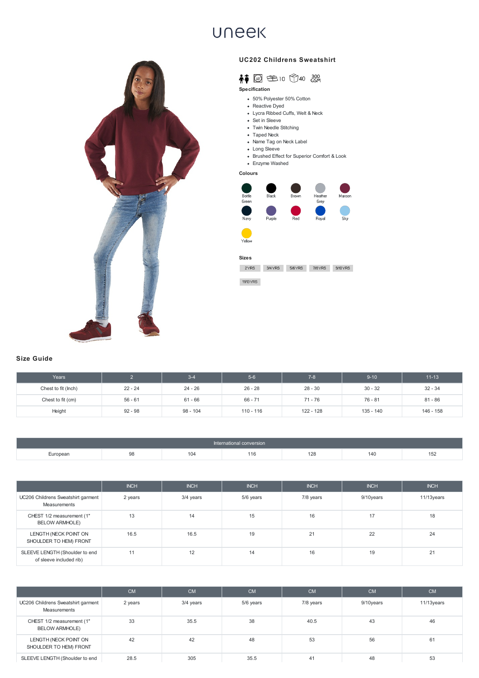- 50% Polyester 50% Cotton
- Reactive Dyed
- Lycra Ribbed Cuffs, Welt & Neck
- Set in Sleeve
- Twin Needle Stitching
- Taped Neck
- Name Tag on Neck Label
- Long Sleeve
- Brushed Effect for Superior Comfort & Look
- Enzyme Washed

| Years               |           | $3 - 4$   | $5-6$       | $7 - 8$   | $9 - 10$  | $11 - 13$ |
|---------------------|-----------|-----------|-------------|-----------|-----------|-----------|
| Chest to fit (lnch) | $22 - 24$ | 24 - 26   | $26 - 28$   | $28 - 30$ | $30 - 32$ | $32 - 34$ |
| Chest to fit (cm)   | $56 - 61$ | $61 - 66$ | $66 - 71$   | $71 - 76$ | $76 - 81$ | $81 - 86$ |
| Height              | $92 - 98$ | 98 - 104  | $110 - 116$ | 122 - 128 | 135 - 140 | 146 - 158 |

|          |    |     | International conversion |     |     |     |
|----------|----|-----|--------------------------|-----|-----|-----|
| European | 98 | 104 | 116                      | 128 | 140 | 152 |

|                                                    | <b>INCH</b>        | <b>INCH</b> | <b>INCH</b> | <b>INCH</b> | <b>INCH</b> | <b>INCH</b> |
|----------------------------------------------------|--------------------|-------------|-------------|-------------|-------------|-------------|
| UC206 Childrens Sweatshirt garment<br>Measurements | <sup>າ</sup> years | 3/4 years   | 5/6 years   | 7/8 years   | 9/10years   | 11/13years  |

| CHEST 1/2 measurement (1"<br><b>BELOW ARMHOLE)</b>        |      | 14   | ن ا | 16       |    | 18 |
|-----------------------------------------------------------|------|------|-----|----------|----|----|
| LENGTH (NECK POINT ON<br>SHOULDER TO HEM) FRONT           | 16.5 | 16.5 | 19  | $\Omega$ | 22 | 24 |
| SLEEVE LENGTH (Shoulder to end<br>of sleeve included rib) |      | 12   | 14  | 16       | 19 | 21 |

|                                                    | <b>CM</b> | <b>CM</b> | <b>CM</b> | <b>CM</b> | <b>CM</b> | <b>CM</b>  |
|----------------------------------------------------|-----------|-----------|-----------|-----------|-----------|------------|
| UC206 Childrens Sweatshirt garment<br>Measurements | 2 years   | 3/4 years | 5/6 years | 7/8 years | 9/10years | 11/13years |
| CHEST 1/2 measurement (1"<br><b>BELOW ARMHOLE)</b> | 33        | 35.5      | 38        | 40.5      | 43        | 46         |
| LENGTH (NECK POINT ON<br>SHOULDER TO HEM) FRONT    | 42        | 42        | 48        | 53        | 56        | 61         |
| SLEEVE LENGTH (Shoulder to end                     | 28.5      | 305       | 35.5      | 41        | 48        | 53         |

## **UNEEK**



## **UC202 Childrens Sweatshirt**



## **Specification**

**Colours**



## **Size Guide**